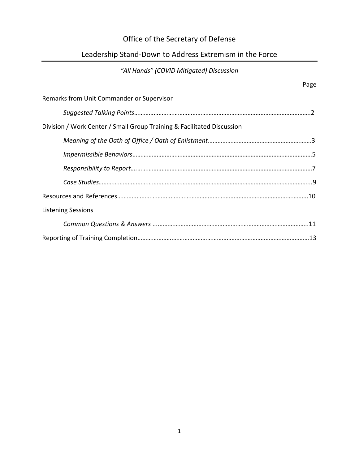# Office of the Secretary of Defense

# Leadership Stand-Down to Address Extremism in the Force

# *"All Hands" (COVID Mitigated) Discussion*

|                                                                        | Page |
|------------------------------------------------------------------------|------|
| Remarks from Unit Commander or Supervisor                              |      |
|                                                                        |      |
| Division / Work Center / Small Group Training & Facilitated Discussion |      |
|                                                                        |      |
|                                                                        |      |
|                                                                        |      |
|                                                                        |      |
|                                                                        |      |
| <b>Listening Sessions</b>                                              |      |
|                                                                        |      |
|                                                                        |      |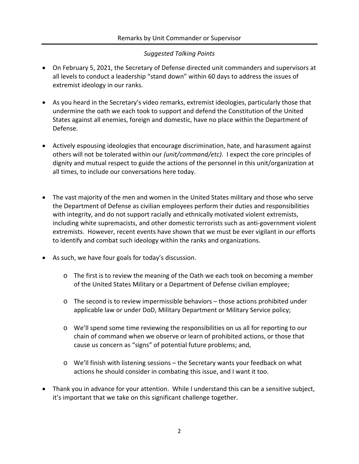#### *Suggested Talking Points*

- On February 5, 2021, the Secretary of Defense directed unit commanders and supervisors at all levels to conduct a leadership "stand down" within 60 days to address the issues of extremist ideology in our ranks.
- As you heard in the Secretary's video remarks, extremist ideologies, particularly those that undermine the oath we each took to support and defend the Constitution of the United States against all enemies, foreign and domestic, have no place within the Department of Defense.
- Actively espousing ideologies that encourage discrimination, hate, and harassment against others will not be tolerated within our *(unit/command/etc)*. I expect the core principles of dignity and mutual respect to guide the actions of the personnel in this unit/organization at all times, to include our conversations here today.
- The vast majority of the men and women in the United States military and those who serve the Department of Defense as civilian employees perform their duties and responsibilities with integrity, and do not support racially and ethnically motivated violent extremists, including white supremacists, and other domestic terrorists such as anti-government violent extremists. However, recent events have shown that we must be ever vigilant in our efforts to identify and combat such ideology within the ranks and organizations.
- As such, we have four goals for today's discussion.
	- $\circ$  The first is to review the meaning of the Oath we each took on becoming a member of the United States Military or a Department of Defense civilian employee;
	- o The second is to review impermissible behaviors those actions prohibited under applicable law or under DoD, Military Department or Military Service policy;
	- o We'll spend some time reviewing the responsibilities on us all for reporting to our chain of command when we observe or learn of prohibited actions, or those that cause us concern as "signs" of potential future problems; and,
	- o We'll finish with listening sessions the Secretary wants your feedback on what actions he should consider in combating this issue, and I want it too.
- Thank you in advance for your attention. While I understand this can be a sensitive subject, it's important that we take on this significant challenge together.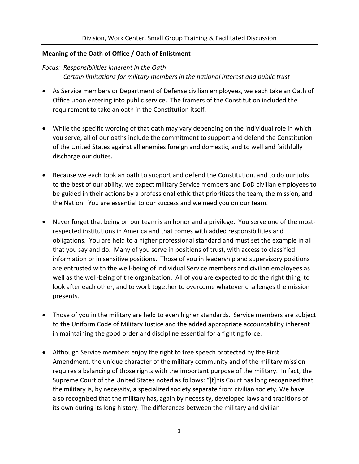#### **Meaning of the Oath of Office / Oath of Enlistment**

*Focus: Responsibilities inherent in the Oath Certain limitations for military members in the national interest and public trust*

- As Service members or Department of Defense civilian employees, we each take an Oath of Office upon entering into public service. The framers of the Constitution included the requirement to take an oath in the Constitution itself.
- While the specific wording of that oath may vary depending on the individual role in which you serve, all of our oaths include the commitment to support and defend the Constitution of the United States against all enemies foreign and domestic, and to well and faithfully discharge our duties.
- Because we each took an oath to support and defend the Constitution, and to do our jobs to the best of our ability, we expect military Service members and DoD civilian employees to be guided in their actions by a professional ethic that prioritizes the team, the mission, and the Nation. You are essential to our success and we need you on our team.
- Never forget that being on our team is an honor and a privilege. You serve one of the mostrespected institutions in America and that comes with added responsibilities and obligations. You are held to a higher professional standard and must set the example in all that you say and do. Many of you serve in positions of trust, with access to classified information or in sensitive positions. Those of you in leadership and supervisory positions are entrusted with the well-being of individual Service members and civilian employees as well as the well-being of the organization. All of you are expected to do the right thing, to look after each other, and to work together to overcome whatever challenges the mission presents.
- Those of you in the military are held to even higher standards. Service members are subject to the Uniform Code of Military Justice and the added appropriate accountability inherent in maintaining the good order and discipline essential for a fighting force.
- Although Service members enjoy the right to free speech protected by the First Amendment, the unique character of the military community and of the military mission requires a balancing of those rights with the important purpose of the military. In fact, the Supreme Court of the United States noted as follows: "[t]his Court has long recognized that the military is, by necessity, a specialized society separate from civilian society. We have also recognized that the military has, again by necessity, developed laws and traditions of its own during its long history. The differences between the military and civilian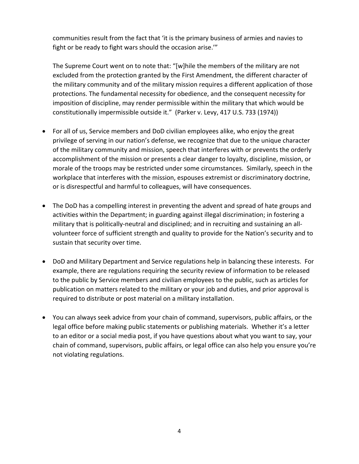communities result from the fact that 'it is the primary business of armies and navies to fight or be ready to fight wars should the occasion arise.'"

The Supreme Court went on to note that: "[w]hile the members of the military are not excluded from the protection granted by the First Amendment, the different character of the military community and of the military mission requires a different application of those protections. The fundamental necessity for obedience, and the consequent necessity for imposition of discipline, may render permissible within the military that which would be constitutionally impermissible outside it." (Parker v. Levy, 417 U.S. 733 (1974))

- For all of us, Service members and DoD civilian employees alike, who enjoy the great privilege of serving in our nation's defense, we recognize that due to the unique character of the military community and mission, speech that interferes with or prevents the orderly accomplishment of the mission or presents a clear danger to loyalty, discipline, mission, or morale of the troops may be restricted under some circumstances. Similarly, speech in the workplace that interferes with the mission, espouses extremist or discriminatory doctrine, or is disrespectful and harmful to colleagues, will have consequences.
- The DoD has a compelling interest in preventing the advent and spread of hate groups and activities within the Department; in guarding against illegal discrimination; in fostering a military that is politically-neutral and disciplined; and in recruiting and sustaining an allvolunteer force of sufficient strength and quality to provide for the Nation's security and to sustain that security over time.
- DoD and Military Department and Service regulations help in balancing these interests. For example, there are regulations requiring the security review of information to be released to the public by Service members and civilian employees to the public, such as articles for publication on matters related to the military or your job and duties, and prior approval is required to distribute or post material on a military installation.
- You can always seek advice from your chain of command, supervisors, public affairs, or the legal office before making public statements or publishing materials. Whether it's a letter to an editor or a social media post, if you have questions about what you want to say, your chain of command, supervisors, public affairs, or legal office can also help you ensure you're not violating regulations.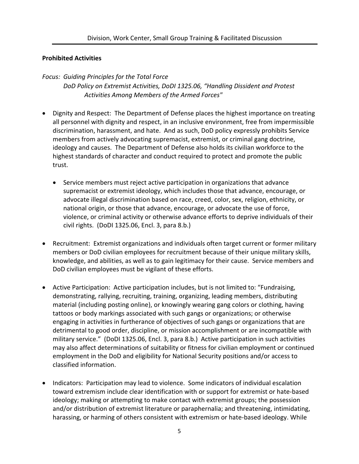#### **Prohibited Activities**

#### *Focus: Guiding Principles for the Total Force*

*DoD Policy on Extremist Activities, DoDI 1325.06, "Handling Dissident and Protest Activities Among Members of the Armed Forces"*

- Dignity and Respect: The Department of Defense places the highest importance on treating all personnel with dignity and respect, in an inclusive environment, free from impermissible discrimination, harassment, and hate. And as such, DoD policy expressly prohibits Service members from actively advocating supremacist, extremist, or criminal gang doctrine, ideology and causes. The Department of Defense also holds its civilian workforce to the highest standards of character and conduct required to protect and promote the public trust.
	- Service members must reject active participation in organizations that advance supremacist or extremist ideology, which includes those that advance, encourage, or advocate illegal discrimination based on race, creed, color, sex, religion, ethnicity, or national origin, or those that advance, encourage, or advocate the use of force, violence, or criminal activity or otherwise advance efforts to deprive individuals of their civil rights. (DoDI 1325.06, Encl. 3, para 8.b.)
- Recruitment: Extremist organizations and individuals often target current or former military members or DoD civilian employees for recruitment because of their unique military skills, knowledge, and abilities, as well as to gain legitimacy for their cause. Service members and DoD civilian employees must be vigilant of these efforts.
- Active Participation: Active participation includes, but is not limited to: "Fundraising, demonstrating, rallying, recruiting, training, organizing, leading members, distributing material (including posting online), or knowingly wearing gang colors or clothing, having tattoos or body markings associated with such gangs or organizations; or otherwise engaging in activities in furtherance of objectives of such gangs or organizations that are detrimental to good order, discipline, or mission accomplishment or are incompatible with military service." (DoDI 1325.06, Encl. 3, para 8.b.) Active participation in such activities may also affect determinations of suitability or fitness for civilian employment or continued employment in the DoD and eligibility for National Security positions and/or access to classified information.
- Indicators: Participation may lead to violence. Some indicators of individual escalation toward extremism include clear identification with or support for extremist or hate-based ideology; making or attempting to make contact with extremist groups; the possession and/or distribution of extremist literature or paraphernalia; and threatening, intimidating, harassing, or harming of others consistent with extremism or hate-based ideology. While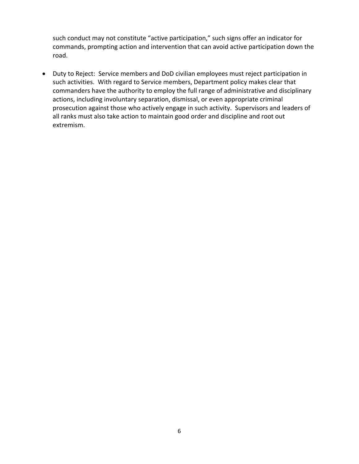such conduct may not constitute "active participation," such signs offer an indicator for commands, prompting action and intervention that can avoid active participation down the road.

• Duty to Reject: Service members and DoD civilian employees must reject participation in such activities. With regard to Service members, Department policy makes clear that commanders have the authority to employ the full range of administrative and disciplinary actions, including involuntary separation, dismissal, or even appropriate criminal prosecution against those who actively engage in such activity. Supervisors and leaders of all ranks must also take action to maintain good order and discipline and root out extremism.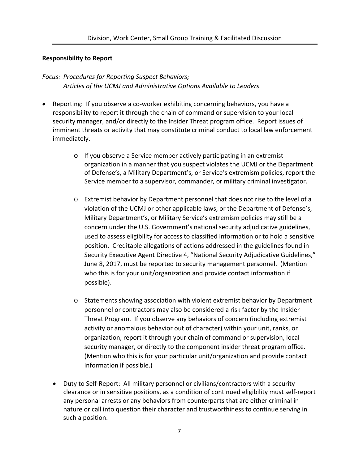#### **Responsibility to Report**

# *Focus: Procedures for Reporting Suspect Behaviors; Articles of the UCMJ and Administrative Options Available to Leaders*

- Reporting: If you observe a co-worker exhibiting concerning behaviors, you have a responsibility to report it through the chain of command or supervision to your local security manager, and/or directly to the Insider Threat program office. Report issues of imminent threats or activity that may constitute criminal conduct to local law enforcement immediately.
	- o If you observe a Service member actively participating in an extremist organization in a manner that you suspect violates the UCMJ or the Department of Defense's, a Military Department's, or Service's extremism policies, report the Service member to a supervisor, commander, or military criminal investigator.
	- o Extremist behavior by Department personnel that does not rise to the level of a violation of the UCMJ or other applicable laws, or the Department of Defense's, Military Department's, or Military Service's extremism policies may still be a concern under the U.S. Government's national security adjudicative guidelines, used to assess eligibility for access to classified information or to hold a sensitive position. Creditable allegations of actions addressed in the guidelines found in Security Executive Agent Directive 4, "National Security Adjudicative Guidelines," June 8, 2017, must be reported to security management personnel. (Mention who this is for your unit/organization and provide contact information if possible).
	- o Statements showing association with violent extremist behavior by Department personnel or contractors may also be considered a risk factor by the Insider Threat Program. If you observe any behaviors of concern (including extremist activity or anomalous behavior out of character) within your unit, ranks, or organization, report it through your chain of command or supervision, local security manager, or directly to the component insider threat program office. (Mention who this is for your particular unit/organization and provide contact information if possible.)
	- Duty to Self-Report: All military personnel or civilians/contractors with a security clearance or in sensitive positions, as a condition of continued eligibility must self-report any personal arrests or any behaviors from counterparts that are either criminal in nature or call into question their character and trustworthiness to continue serving in such a position.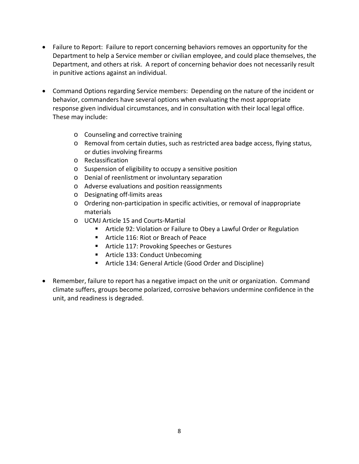- Failure to Report: Failure to report concerning behaviors removes an opportunity for the Department to help a Service member or civilian employee, and could place themselves, the Department, and others at risk. A report of concerning behavior does not necessarily result in punitive actions against an individual.
- Command Options regarding Service members: Depending on the nature of the incident or behavior, commanders have several options when evaluating the most appropriate response given individual circumstances, and in consultation with their local legal office. These may include:
	- o Counseling and corrective training
	- o Removal from certain duties, such as restricted area badge access, flying status, or duties involving firearms
	- o Reclassification
	- o Suspension of eligibility to occupy a sensitive position
	- o Denial of reenlistment or involuntary separation
	- o Adverse evaluations and position reassignments
	- o Designating off-limits areas
	- o Ordering non-participation in specific activities, or removal of inappropriate materials
	- o UCMJ Article 15 and Courts-Martial
		- Article 92: Violation or Failure to Obey a Lawful Order or Regulation
		- **Article 116: Riot or Breach of Peace**
		- **F** Article 117: Provoking Speeches or Gestures
		- **Article 133: Conduct Unbecoming**
		- Article 134: General Article (Good Order and Discipline)
- Remember, failure to report has a negative impact on the unit or organization. Command climate suffers, groups become polarized, corrosive behaviors undermine confidence in the unit, and readiness is degraded.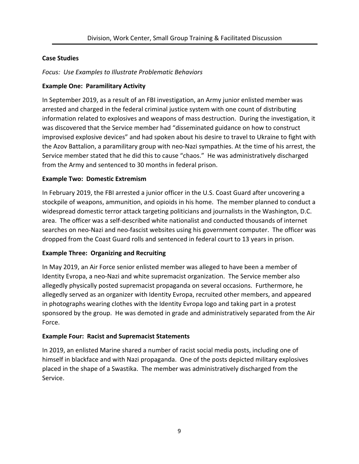#### **Case Studies**

#### *Focus: Use Examples to Illustrate Problematic Behaviors*

#### **Example One: Paramilitary Activity**

In September 2019, as a result of an FBI investigation, an Army junior enlisted member was arrested and charged in the federal criminal justice system with one count of distributing information related to explosives and weapons of mass destruction. During the investigation, it was discovered that the Service member had "disseminated guidance on how to construct improvised explosive devices" and had spoken about his desire to travel to Ukraine to fight with the Azov Battalion, a paramilitary group with neo-Nazi sympathies. At the time of his arrest, the Service member stated that he did this to cause "chaos." He was administratively discharged from the Army and sentenced to 30 months in federal prison.

## **Example Two: Domestic Extremism**

In February 2019, the FBI arrested a junior officer in the U.S. Coast Guard after uncovering a stockpile of weapons, ammunition, and opioids in his home. The member planned to conduct a widespread domestic terror attack targeting politicians and journalists in the Washington, D.C. area. The officer was a self-described white nationalist and conducted thousands of internet searches on neo-Nazi and neo-fascist websites using his government computer. The officer was dropped from the Coast Guard rolls and sentenced in federal court to 13 years in prison.

# **Example Three: Organizing and Recruiting**

In May 2019, an Air Force senior enlisted member was alleged to have been a member of Identity Evropa, a neo-Nazi and white supremacist organization. The Service member also allegedly physically posted supremacist propaganda on several occasions. Furthermore, he allegedly served as an organizer with Identity Evropa, recruited other members, and appeared in photographs wearing clothes with the Identity Evropa logo and taking part in a protest sponsored by the group. He was demoted in grade and administratively separated from the Air Force.

#### **Example Four: Racist and Supremacist Statements**

In 2019, an enlisted Marine shared a number of racist social media posts, including one of himself in blackface and with Nazi propaganda. One of the posts depicted military explosives placed in the shape of a Swastika. The member was administratively discharged from the Service.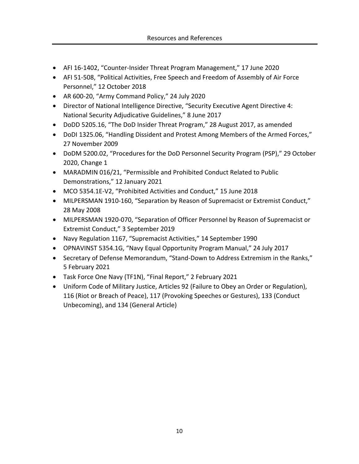- AFI 16-1402, "Counter-Insider Threat Program Management," 17 June 2020
- AFI 51-508, "Political Activities, Free Speech and Freedom of Assembly of Air Force Personnel," 12 October 2018
- AR 600-20, "Army Command Policy," 24 July 2020
- Director of National Intelligence Directive, "Security Executive Agent Directive 4: National Security Adjudicative Guidelines," 8 June 2017
- DoDD 5205.16, "The DoD Insider Threat Program," 28 August 2017, as amended
- DoDI 1325.06, "Handling Dissident and Protest Among Members of the Armed Forces," 27 November 2009
- DoDM 5200.02, "Procedures for the DoD Personnel Security Program (PSP)," 29 October 2020, Change 1
- MARADMIN 016/21, "Permissible and Prohibited Conduct Related to Public Demonstrations," 12 January 2021
- MCO 5354.1E-V2, "Prohibited Activities and Conduct," 15 June 2018
- MILPERSMAN 1910-160, "Separation by Reason of Supremacist or Extremist Conduct," 28 May 2008
- MILPERSMAN 1920-070, "Separation of Officer Personnel by Reason of Supremacist or Extremist Conduct," 3 September 2019
- Navy Regulation 1167, "Supremacist Activities," 14 September 1990
- OPNAVINST 5354.1G, "Navy Equal Opportunity Program Manual," 24 July 2017
- Secretary of Defense Memorandum, "Stand-Down to Address Extremism in the Ranks," 5 February 2021
- Task Force One Navy (TF1N), "Final Report," 2 February 2021
- Uniform Code of Military Justice, Articles 92 (Failure to Obey an Order or Regulation), 116 (Riot or Breach of Peace), 117 (Provoking Speeches or Gestures), 133 (Conduct Unbecoming), and 134 (General Article)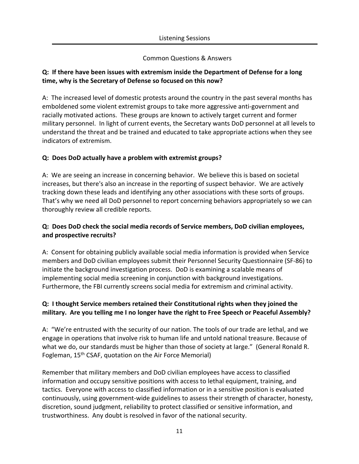#### Common Questions & Answers

## **Q: If there have been issues with extremism inside the Department of Defense for a long time, why is the Secretary of Defense so focused on this now?**

A: The increased level of domestic protests around the country in the past several months has emboldened some violent extremist groups to take more aggressive anti-government and racially motivated actions. These groups are known to actively target current and former military personnel. In light of current events, the Secretary wants DoD personnel at all levels to understand the threat and be trained and educated to take appropriate actions when they see indicators of extremism.

## **Q: Does DoD actually have a problem with extremist groups?**

A: We are seeing an increase in concerning behavior. We believe this is based on societal increases, but there's also an increase in the reporting of suspect behavior. We are actively tracking down these leads and identifying any other associations with these sorts of groups. That's why we need all DoD personnel to report concerning behaviors appropriately so we can thoroughly review all credible reports.

## **Q: Does DoD check the social media records of Service members, DoD civilian employees, and prospective recruits?**

A: Consent for obtaining publicly available social media information is provided when Service members and DoD civilian employees submit their Personnel Security Questionnaire (SF-86) to initiate the background investigation process. DoD is examining a scalable means of implementing social media screening in conjunction with background investigations. Furthermore, the FBI currently screens social media for extremism and criminal activity.

## **Q: I thought Service members retained their Constitutional rights when they joined the military. Are you telling me I no longer have the right to Free Speech or Peaceful Assembly?**

A: "We're entrusted with the security of our nation. The tools of our trade are lethal, and we engage in operations that involve risk to human life and untold national treasure. Because of what we do, our standards must be higher than those of society at large." (General Ronald R. Fogleman, 15<sup>th</sup> CSAF, quotation on the Air Force Memorial)

Remember that military members and DoD civilian employees have access to classified information and occupy sensitive positions with access to lethal equipment, training, and tactics. Everyone with access to classified information or in a sensitive position is evaluated continuously, using government-wide guidelines to assess their strength of character, honesty, discretion, sound judgment, reliability to protect classified or sensitive information, and trustworthiness. Any doubt is resolved in favor of the national security.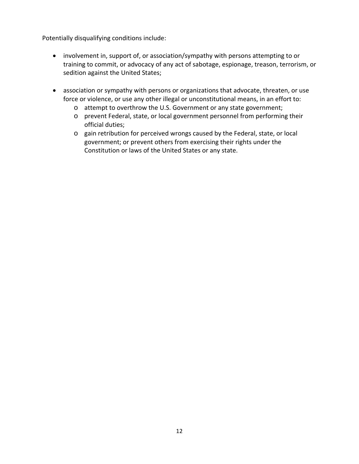Potentially disqualifying conditions include:

- involvement in, support of, or association/sympathy with persons attempting to or training to commit, or advocacy of any act of sabotage, espionage, treason, terrorism, or sedition against the United States;
- association or sympathy with persons or organizations that advocate, threaten, or use force or violence, or use any other illegal or unconstitutional means, in an effort to:
	- o attempt to overthrow the U.S. Government or any state government;
	- o prevent Federal, state, or local government personnel from performing their official duties;
	- o gain retribution for perceived wrongs caused by the Federal, state, or local government; or prevent others from exercising their rights under the Constitution or laws of the United States or any state.